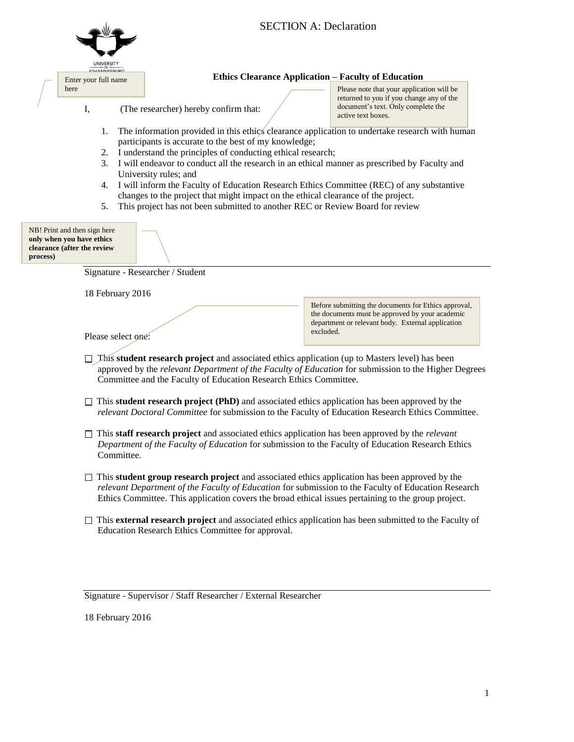|          |                                                                                          |                                                                                                                                                                                                                                                                                                                     | <b>SECTION A: Declaration</b> |           |                                                                                                                                                                                                                                                                                                                            |  |
|----------|------------------------------------------------------------------------------------------|---------------------------------------------------------------------------------------------------------------------------------------------------------------------------------------------------------------------------------------------------------------------------------------------------------------------|-------------------------------|-----------|----------------------------------------------------------------------------------------------------------------------------------------------------------------------------------------------------------------------------------------------------------------------------------------------------------------------------|--|
|          | <b>IOHANNECRURG</b>                                                                      |                                                                                                                                                                                                                                                                                                                     |                               |           |                                                                                                                                                                                                                                                                                                                            |  |
|          | Enter your full name                                                                     |                                                                                                                                                                                                                                                                                                                     |                               |           | <b>Ethics Clearance Application - Faculty of Education</b>                                                                                                                                                                                                                                                                 |  |
|          | here<br>I,                                                                               | (The researcher) hereby confirm that:                                                                                                                                                                                                                                                                               |                               |           | Please note that your application will be<br>returned to you if you change any of the<br>document's text. Only complete the<br>active text boxes.                                                                                                                                                                          |  |
|          | 1.<br>2.<br>3.<br>4.<br>5.                                                               | participants is accurate to the best of my knowledge;<br>I understand the principles of conducting ethical research;<br>University rules; and<br>changes to the project that might impact on the ethical clearance of the project.<br>This project has not been submitted to another REC or Review Board for review |                               |           | The information provided in this ethics clearance application to undertake research with human<br>I will endeavor to conduct all the research in an ethical manner as prescribed by Faculty and<br>I will inform the Faculty of Education Research Ethics Committee (REC) of any substantive                               |  |
| process) | NB! Print and then sign here<br>only when you have ethics<br>clearance (after the review |                                                                                                                                                                                                                                                                                                                     |                               |           |                                                                                                                                                                                                                                                                                                                            |  |
|          |                                                                                          | Signature - Researcher / Student                                                                                                                                                                                                                                                                                    |                               |           |                                                                                                                                                                                                                                                                                                                            |  |
|          |                                                                                          | 18 February 2016                                                                                                                                                                                                                                                                                                    |                               |           |                                                                                                                                                                                                                                                                                                                            |  |
|          |                                                                                          | Please select one:                                                                                                                                                                                                                                                                                                  |                               | excluded. | Before submitting the documents for Ethics approval,<br>the documents must be approved by your academic<br>department or relevant body. External application                                                                                                                                                               |  |
|          |                                                                                          | Committee and the Faculty of Education Research Ethics Committee.                                                                                                                                                                                                                                                   |                               |           | This student research project and associated ethics application (up to Masters level) has been<br>approved by the relevant Department of the Faculty of Education for submission to the Higher Degrees                                                                                                                     |  |
|          |                                                                                          |                                                                                                                                                                                                                                                                                                                     |                               |           | $\Box$ This <b>student research project (PhD)</b> and associated ethics application has been approved by the<br>relevant Doctoral Committee for submission to the Faculty of Education Research Ethics Committee.                                                                                                          |  |
|          |                                                                                          | Committee.                                                                                                                                                                                                                                                                                                          |                               |           | $\Box$ This staff research project and associated ethics application has been approved by the <i>relevant</i><br>Department of the Faculty of Education for submission to the Faculty of Education Research Ethics                                                                                                         |  |
|          |                                                                                          |                                                                                                                                                                                                                                                                                                                     |                               |           | $\Box$ This <b>student group research project</b> and associated ethics application has been approved by the<br>relevant Department of the Faculty of Education for submission to the Faculty of Education Research<br>Ethics Committee. This application covers the broad ethical issues pertaining to the group project. |  |
|          |                                                                                          | Education Research Ethics Committee for approval.                                                                                                                                                                                                                                                                   |                               |           | $\Box$ This external research project and associated ethics application has been submitted to the Faculty of                                                                                                                                                                                                               |  |
|          |                                                                                          | Signature - Supervisor / Staff Researcher / External Researcher                                                                                                                                                                                                                                                     |                               |           |                                                                                                                                                                                                                                                                                                                            |  |

18 February 2016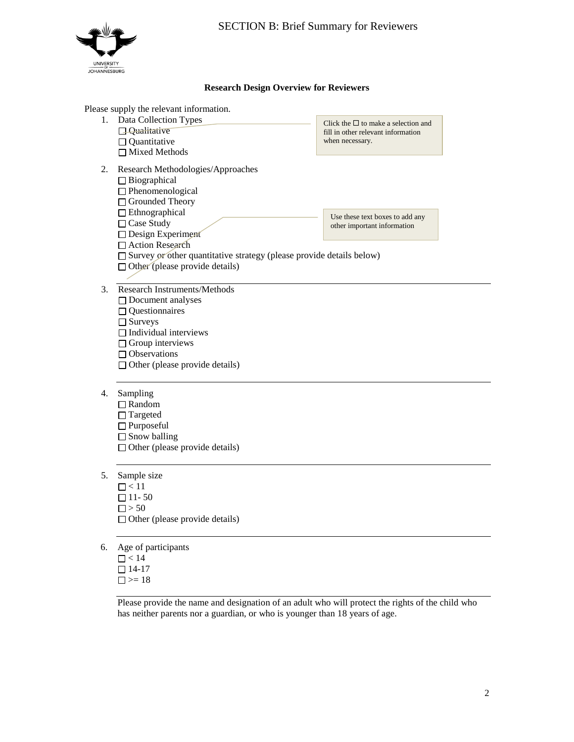

Click the  $\Box$  to make a selection and fill in other relevant information

Use these text boxes to add any other important information

when necessary.

## **Research Design Overview for Reviewers**

#### Please supply the relevant information.

- 1. Data Collection Types
	- **Qualitative**
	- □ Quantitative
	- □ Mixed Methods
- 2. Research Methodologies/Approaches
	- □ Biographical
	- □ Phenomenological
	- □ Grounded Theory
	- Ethnographical
	- □ Case Study
	- Design Experiment
	- □ Action Research
	- $\square$  Survey or other quantitative strategy (please provide details below)
	- $\Box$  Other (please provide details)
- 3. Research Instruments/Methods
	- □ Document analyses
	- $\Box$  Questionnaires
	- □ Surveys
	- $\Box$  Individual interviews
	- $\Box$  Group interviews
	- Observations
	- $\Box$  Other (please provide details)
- 4. Sampling
	- Random
	- □ Targeted
	- □ Purposeful
	- $\Box$  Snow balling
	- $\Box$  Other (please provide details)
- 5. Sample size
	- $\Box$  < 11  $\Box$  11 - 50  $\Box$  > 50  $\Box$  Other (please provide details)
- 6. Age of participants
	- $\Box$  < 14  $\Box$  14-17  $\Box$  >= 18

Please provide the name and designation of an adult who will protect the rights of the child who has neither parents nor a guardian, or who is younger than 18 years of age.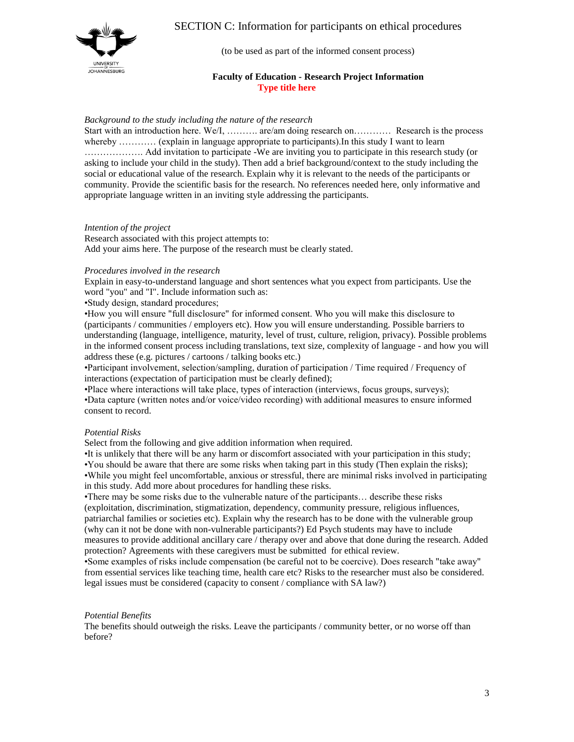

# SECTION C: Information for participants on ethical procedures

(to be used as part of the informed consent process)

### **Faculty of Education - Research Project Information Type title here**

#### *Background to the study including the nature of the research*

Start with an introduction here. We/I, ………. are/am doing research on………… Research is the process whereby ............ (explain in language appropriate to participants). In this study I want to learn ………………. Add invitation to participate -We are inviting you to participate in this research study (or asking to include your child in the study). Then add a brief background/context to the study including the social or educational value of the research. Explain why it is relevant to the needs of the participants or community. Provide the scientific basis for the research. No references needed here, only informative and appropriate language written in an inviting style addressing the participants.

#### *Intention of the project*

Research associated with this project attempts to: Add your aims here. The purpose of the research must be clearly stated.

#### *Procedures involved in the research*

Explain in easy-to-understand language and short sentences what you expect from participants. Use the word "you" and "I". Include information such as:

•Study design, standard procedures;

•How you will ensure "full disclosure" for informed consent. Who you will make this disclosure to (participants / communities / employers etc). How you will ensure understanding. Possible barriers to understanding (language, intelligence, maturity, level of trust, culture, religion, privacy). Possible problems in the informed consent process including translations, text size, complexity of language - and how you will address these (e.g. pictures / cartoons / talking books etc.)

•Participant involvement, selection/sampling, duration of participation / Time required / Frequency of interactions (expectation of participation must be clearly defined);

•Place where interactions will take place, types of interaction (interviews, focus groups, surveys); •Data capture (written notes and/or voice/video recording) with additional measures to ensure informed consent to record.

#### *Potential Risks*

Select from the following and give addition information when required.

•It is unlikely that there will be any harm or discomfort associated with your participation in this study; •You should be aware that there are some risks when taking part in this study (Then explain the risks); •While you might feel uncomfortable, anxious or stressful, there are minimal risks involved in participating in this study. Add more about procedures for handling these risks.

•There may be some risks due to the vulnerable nature of the participants… describe these risks (exploitation, discrimination, stigmatization, dependency, community pressure, religious influences, patriarchal families or societies etc). Explain why the research has to be done with the vulnerable group (why can it not be done with non-vulnerable participants?) Ed Psych students may have to include measures to provide additional ancillary care / therapy over and above that done during the research. Added protection? Agreements with these caregivers must be submitted for ethical review.

•Some examples of risks include compensation (be careful not to be coercive). Does research "take away" from essential services like teaching time, health care etc? Risks to the researcher must also be considered. legal issues must be considered (capacity to consent / compliance with SA law?)

#### *Potential Benefits*

The benefits should outweigh the risks. Leave the participants / community better, or no worse off than before?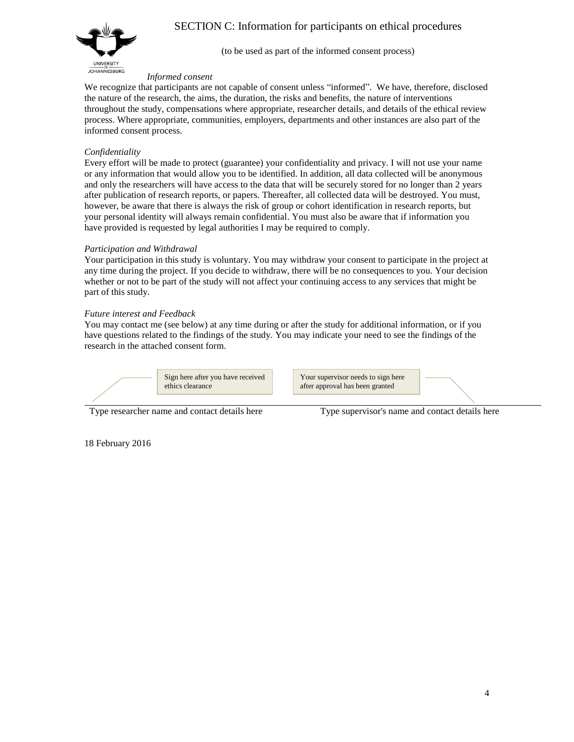SECTION C: Information for participants on ethical procedures



(to be used as part of the informed consent process)

#### *Informed consent*

We recognize that participants are not capable of consent unless "informed". We have, therefore, disclosed the nature of the research, the aims, the duration, the risks and benefits, the nature of interventions throughout the study, compensations where appropriate, researcher details, and details of the ethical review process. Where appropriate, communities, employers, departments and other instances are also part of the informed consent process.

# *Confidentiality*

Every effort will be made to protect (guarantee) your confidentiality and privacy. I will not use your name or any information that would allow you to be identified. In addition, all data collected will be anonymous and only the researchers will have access to the data that will be securely stored for no longer than 2 years after publication of research reports, or papers. Thereafter, all collected data will be destroyed. You must, however, be aware that there is always the risk of group or cohort identification in research reports, but your personal identity will always remain confidential. You must also be aware that if information you have provided is requested by legal authorities I may be required to comply.

## *Participation and Withdrawal*

Your participation in this study is voluntary. You may withdraw your consent to participate in the project at any time during the project. If you decide to withdraw, there will be no consequences to you. Your decision whether or not to be part of the study will not affect your continuing access to any services that might be part of this study.

# *Future interest and Feedback*

You may contact me (see below) at any time during or after the study for additional information, or if you have questions related to the findings of the study. You may indicate your need to see the findings of the research in the attached consent form.



Type researcher name and contact details here Type supervisor's name and contact details here

18 February 2016